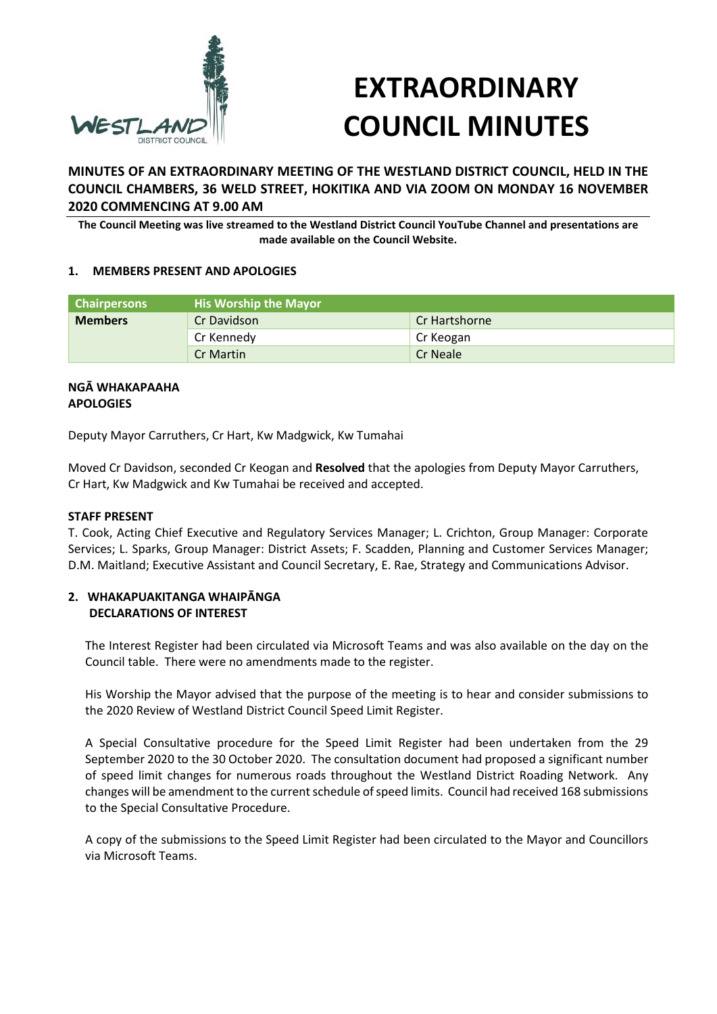

# **EXTRAORDINARY COUNCIL MINUTES**

**MINUTES OF AN EXTRAORDINARY MEETING OF THE WESTLAND DISTRICT COUNCIL, HELD IN THE COUNCIL CHAMBERS, 36 WELD STREET, HOKITIKA AND VIA ZOOM ON MONDAY 16 NOVEMBER 2020 COMMENCING AT 9.00 AM** 

**The Council Meeting was live streamed to the Westland District Council YouTube Channel and presentations are made available on the Council Website.** 

#### **1. MEMBERS PRESENT AND APOLOGIES**

| <b>Chairpersons</b> | <b>His Worship the Mayor</b> |               |
|---------------------|------------------------------|---------------|
| <b>Members</b>      | Cr Davidson                  | Cr Hartshorne |
|                     | Cr Kennedy                   | Cr Keogan     |
|                     | Cr Martin                    | Cr Neale      |

#### **NGĀ WHAKAPAAHA APOLOGIES**

Deputy Mayor Carruthers, Cr Hart, Kw Madgwick, Kw Tumahai

Moved Cr Davidson, seconded Cr Keogan and **Resolved** that the apologies from Deputy Mayor Carruthers, Cr Hart, Kw Madgwick and Kw Tumahai be received and accepted.

#### **STAFF PRESENT**

T. Cook, Acting Chief Executive and Regulatory Services Manager; L. Crichton, Group Manager: Corporate Services; L. Sparks, Group Manager: District Assets; F. Scadden, Planning and Customer Services Manager; D.M. Maitland; Executive Assistant and Council Secretary, E. Rae, Strategy and Communications Advisor.

## **2. WHAKAPUAKITANGA WHAIPĀNGA DECLARATIONS OF INTEREST**

The Interest Register had been circulated via Microsoft Teams and was also available on the day on the Council table. There were no amendments made to the register.

His Worship the Mayor advised that the purpose of the meeting is to hear and consider submissions to the 2020 Review of Westland District Council Speed Limit Register.

A Special Consultative procedure for the Speed Limit Register had been undertaken from the 29 September 2020 to the 30 October 2020. The consultation document had proposed a significant number of speed limit changes for numerous roads throughout the Westland District Roading Network. Any changes will be amendment to the current schedule of speed limits. Council had received 168 submissions to the Special Consultative Procedure.

A copy of the submissions to the Speed Limit Register had been circulated to the Mayor and Councillors via Microsoft Teams.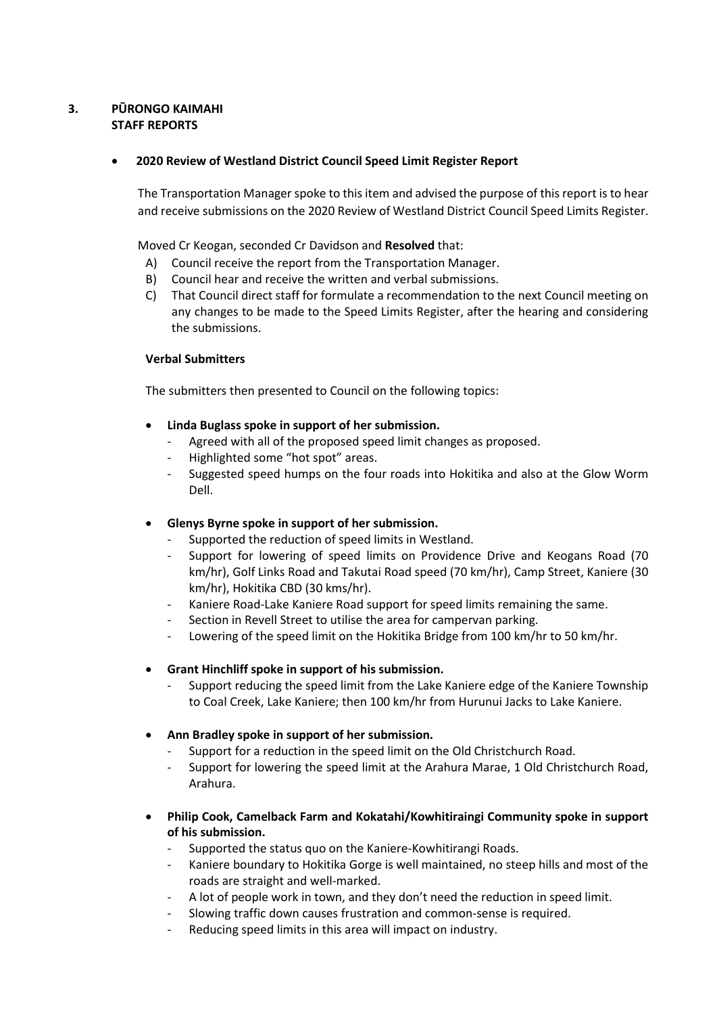# **3. PŪRONGO KAIMAHI STAFF REPORTS**

#### **2020 Review of Westland District Council Speed Limit Register Report**

The Transportation Manager spoke to this item and advised the purpose of this report is to hear and receive submissions on the 2020 Review of Westland District Council Speed Limits Register.

Moved Cr Keogan, seconded Cr Davidson and **Resolved** that:

- A) Council receive the report from the Transportation Manager.
- B) Council hear and receive the written and verbal submissions.
- C) That Council direct staff for formulate a recommendation to the next Council meeting on any changes to be made to the Speed Limits Register, after the hearing and considering the submissions.

#### **Verbal Submitters**

The submitters then presented to Council on the following topics:

- **Linda Buglass spoke in support of her submission.** 
	- Agreed with all of the proposed speed limit changes as proposed.
	- Highlighted some "hot spot" areas.
	- Suggested speed humps on the four roads into Hokitika and also at the Glow Worm Dell.
- **Glenys Byrne spoke in support of her submission.** 
	- Supported the reduction of speed limits in Westland.
	- Support for lowering of speed limits on Providence Drive and Keogans Road (70 km/hr), Golf Links Road and Takutai Road speed (70 km/hr), Camp Street, Kaniere (30 km/hr), Hokitika CBD (30 kms/hr).
	- Kaniere Road-Lake Kaniere Road support for speed limits remaining the same.
	- Section in Revell Street to utilise the area for campervan parking.
	- Lowering of the speed limit on the Hokitika Bridge from 100 km/hr to 50 km/hr.
- **Grant Hinchliff spoke in support of his submission.** 
	- Support reducing the speed limit from the Lake Kaniere edge of the Kaniere Township to Coal Creek, Lake Kaniere; then 100 km/hr from Hurunui Jacks to Lake Kaniere.
- **Ann Bradley spoke in support of her submission.** 
	- Support for a reduction in the speed limit on the Old Christchurch Road.
	- Support for lowering the speed limit at the Arahura Marae, 1 Old Christchurch Road, Arahura.
- **Philip Cook, Camelback Farm and Kokatahi/Kowhitiraingi Community spoke in support of his submission.** 
	- Supported the status quo on the Kaniere-Kowhitirangi Roads.
	- Kaniere boundary to Hokitika Gorge is well maintained, no steep hills and most of the roads are straight and well-marked.
	- A lot of people work in town, and they don't need the reduction in speed limit.
	- Slowing traffic down causes frustration and common-sense is required.
	- Reducing speed limits in this area will impact on industry.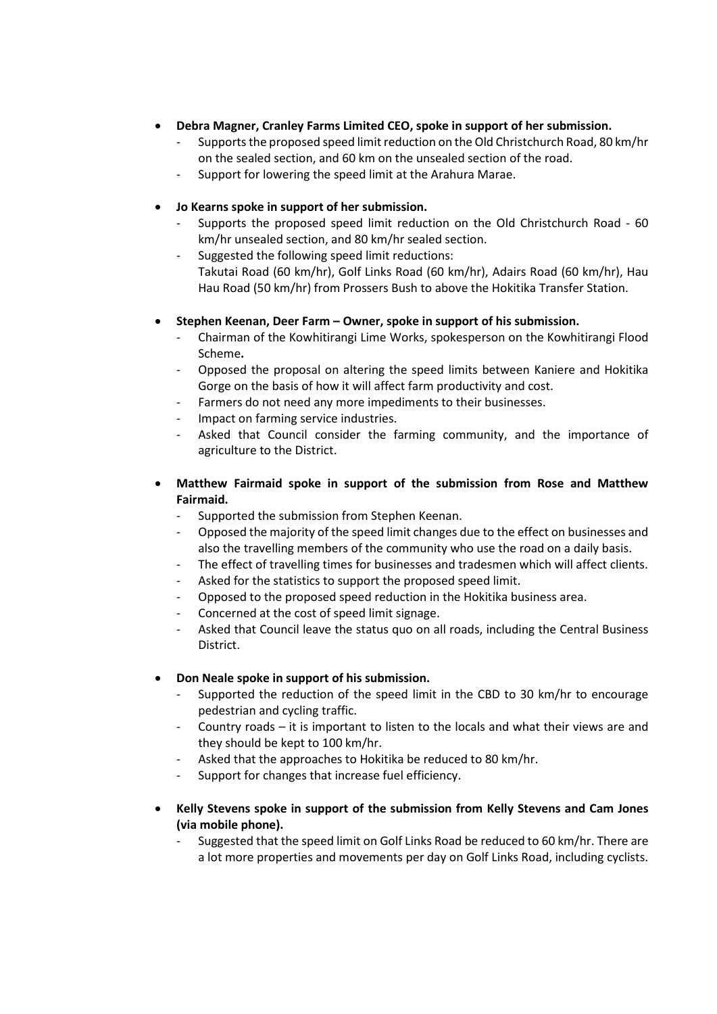- **Debra Magner, Cranley Farms Limited CEO, spoke in support of her submission.** 
	- Supports the proposed speed limit reduction on the Old Christchurch Road, 80 km/hr on the sealed section, and 60 km on the unsealed section of the road.
	- Support for lowering the speed limit at the Arahura Marae.
- **Jo Kearns spoke in support of her submission.** 
	- Supports the proposed speed limit reduction on the Old Christchurch Road 60 km/hr unsealed section, and 80 km/hr sealed section.
	- Suggested the following speed limit reductions: Takutai Road (60 km/hr), Golf Links Road (60 km/hr), Adairs Road (60 km/hr), Hau Hau Road (50 km/hr) from Prossers Bush to above the Hokitika Transfer Station.
- **Stephen Keenan, Deer Farm Owner, spoke in support of his submission.** 
	- Chairman of the Kowhitirangi Lime Works, spokesperson on the Kowhitirangi Flood Scheme**.**
	- Opposed the proposal on altering the speed limits between Kaniere and Hokitika Gorge on the basis of how it will affect farm productivity and cost.
	- Farmers do not need any more impediments to their businesses.
	- Impact on farming service industries.
	- Asked that Council consider the farming community, and the importance of agriculture to the District.
- **Matthew Fairmaid spoke in support of the submission from Rose and Matthew Fairmaid.** 
	- Supported the submission from Stephen Keenan.
	- Opposed the majority of the speed limit changes due to the effect on businesses and also the travelling members of the community who use the road on a daily basis.
	- The effect of travelling times for businesses and tradesmen which will affect clients.
	- Asked for the statistics to support the proposed speed limit.
	- Opposed to the proposed speed reduction in the Hokitika business area.
	- Concerned at the cost of speed limit signage.
	- Asked that Council leave the status quo on all roads, including the Central Business District.

# **Don Neale spoke in support of his submission.**

- Supported the reduction of the speed limit in the CBD to 30 km/hr to encourage pedestrian and cycling traffic.
- Country roads it is important to listen to the locals and what their views are and they should be kept to 100 km/hr.
- Asked that the approaches to Hokitika be reduced to 80 km/hr.
- Support for changes that increase fuel efficiency.
- **Kelly Stevens spoke in support of the submission from Kelly Stevens and Cam Jones (via mobile phone).** 
	- Suggested that the speed limit on Golf Links Road be reduced to 60 km/hr. There are a lot more properties and movements per day on Golf Links Road, including cyclists.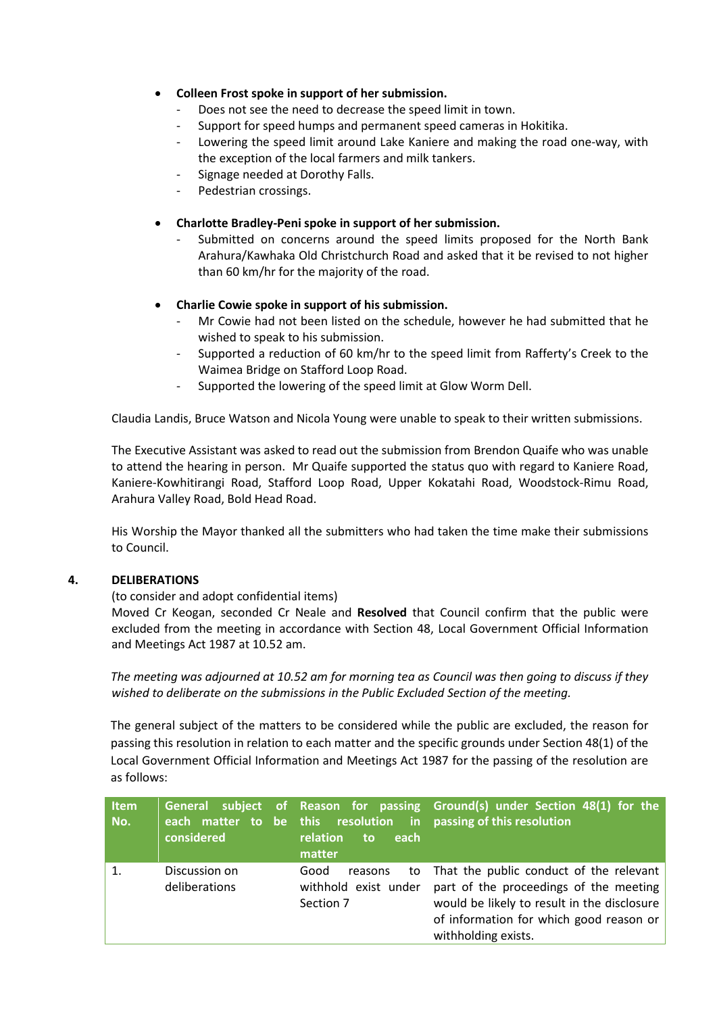## **Colleen Frost spoke in support of her submission.**

- Does not see the need to decrease the speed limit in town.
- Support for speed humps and permanent speed cameras in Hokitika.
- Lowering the speed limit around Lake Kaniere and making the road one-way, with the exception of the local farmers and milk tankers.
- Signage needed at Dorothy Falls.
- Pedestrian crossings.
- **Charlotte Bradley-Peni spoke in support of her submission.** 
	- Submitted on concerns around the speed limits proposed for the North Bank Arahura/Kawhaka Old Christchurch Road and asked that it be revised to not higher than 60 km/hr for the majority of the road.

## **Charlie Cowie spoke in support of his submission.**

- Mr Cowie had not been listed on the schedule, however he had submitted that he wished to speak to his submission.
- Supported a reduction of 60 km/hr to the speed limit from Rafferty's Creek to the Waimea Bridge on Stafford Loop Road.
- Supported the lowering of the speed limit at Glow Worm Dell.

Claudia Landis, Bruce Watson and Nicola Young were unable to speak to their written submissions.

The Executive Assistant was asked to read out the submission from Brendon Quaife who was unable to attend the hearing in person. Mr Quaife supported the status quo with regard to Kaniere Road, Kaniere-Kowhitirangi Road, Stafford Loop Road, Upper Kokatahi Road, Woodstock-Rimu Road, Arahura Valley Road, Bold Head Road.

His Worship the Mayor thanked all the submitters who had taken the time make their submissions to Council.

#### **4. DELIBERATIONS**

#### (to consider and adopt confidential items)

 Moved Cr Keogan, seconded Cr Neale and **Resolved** that Council confirm that the public were excluded from the meeting in accordance with Section 48, Local Government Official Information and Meetings Act 1987 at 10.52 am.

*The meeting was adjourned at 10.52 am for morning tea as Council was then going to discuss if they wished to deliberate on the submissions in the Public Excluded Section of the meeting.* 

The general subject of the matters to be considered while the public are excluded, the reason for passing this resolution in relation to each matter and the specific grounds under Section 48(1) of the Local Government Official Information and Meetings Act 1987 for the passing of the resolution are as follows:

| <b>Item</b><br>No. | considered                     | relation<br>each<br>to<br>matter                     | General subject of Reason for passing Ground(s) under Section 48(1) for the<br>each matter to be this resolution in passing of this resolution                                                        |
|--------------------|--------------------------------|------------------------------------------------------|-------------------------------------------------------------------------------------------------------------------------------------------------------------------------------------------------------|
| 1.                 | Discussion on<br>deliberations | Good<br>reasons<br>withhold exist under<br>Section 7 | to That the public conduct of the relevant<br>part of the proceedings of the meeting<br>would be likely to result in the disclosure<br>of information for which good reason or<br>withholding exists. |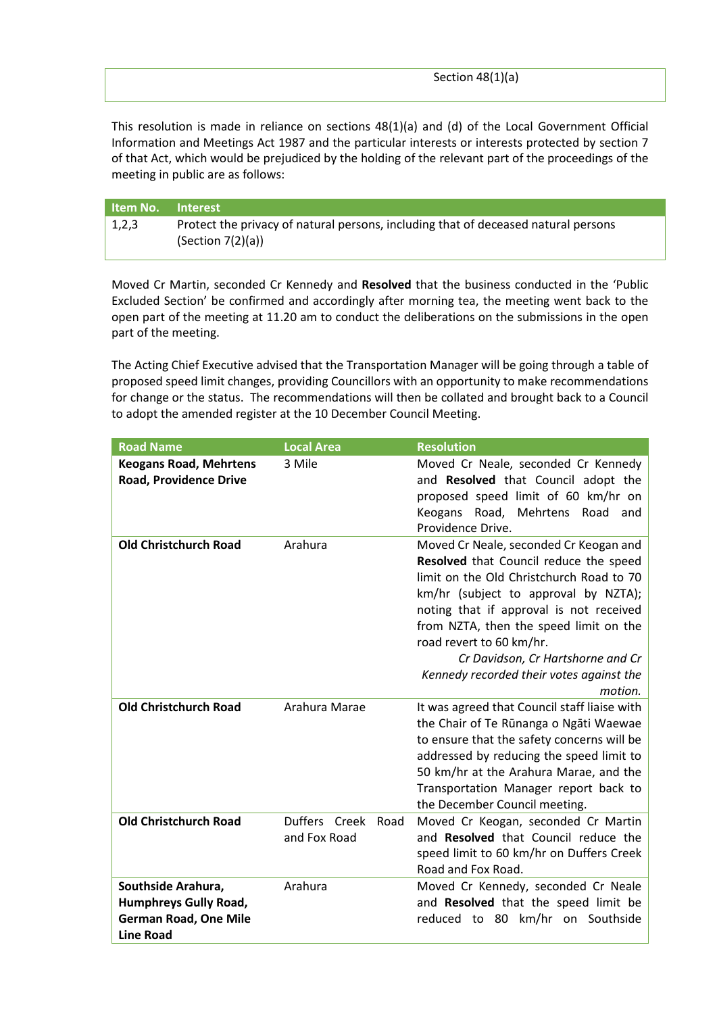This resolution is made in reliance on sections 48(1)(a) and (d) of the Local Government Official Information and Meetings Act 1987 and the particular interests or interests protected by section 7 of that Act, which would be prejudiced by the holding of the relevant part of the proceedings of the meeting in public are as follows:

| <b>Item No.</b> Interest |                                                                                                         |
|--------------------------|---------------------------------------------------------------------------------------------------------|
| 1,2,3                    | Protect the privacy of natural persons, including that of deceased natural persons<br>(Section 7(2)(a)) |

Moved Cr Martin, seconded Cr Kennedy and **Resolved** that the business conducted in the 'Public Excluded Section' be confirmed and accordingly after morning tea, the meeting went back to the open part of the meeting at 11.20 am to conduct the deliberations on the submissions in the open part of the meeting.

The Acting Chief Executive advised that the Transportation Manager will be going through a table of proposed speed limit changes, providing Councillors with an opportunity to make recommendations for change or the status. The recommendations will then be collated and brought back to a Council to adopt the amended register at the 10 December Council Meeting.

| <b>Road Name</b>                                                                                       | <b>Local Area</b>                     | <b>Resolution</b>                                                                                                                                                                                                                                                                                                                                                                 |
|--------------------------------------------------------------------------------------------------------|---------------------------------------|-----------------------------------------------------------------------------------------------------------------------------------------------------------------------------------------------------------------------------------------------------------------------------------------------------------------------------------------------------------------------------------|
| <b>Keogans Road, Mehrtens</b><br><b>Road, Providence Drive</b>                                         | 3 Mile                                | Moved Cr Neale, seconded Cr Kennedy<br>and Resolved that Council adopt the<br>proposed speed limit of 60 km/hr on<br>Keogans Road, Mehrtens Road and<br>Providence Drive.                                                                                                                                                                                                         |
| <b>Old Christchurch Road</b>                                                                           | Arahura                               | Moved Cr Neale, seconded Cr Keogan and<br>Resolved that Council reduce the speed<br>limit on the Old Christchurch Road to 70<br>km/hr (subject to approval by NZTA);<br>noting that if approval is not received<br>from NZTA, then the speed limit on the<br>road revert to 60 km/hr.<br>Cr Davidson, Cr Hartshorne and Cr<br>Kennedy recorded their votes against the<br>motion. |
| <b>Old Christchurch Road</b>                                                                           | Arahura Marae                         | It was agreed that Council staff liaise with<br>the Chair of Te Rūnanga o Ngāti Waewae<br>to ensure that the safety concerns will be<br>addressed by reducing the speed limit to<br>50 km/hr at the Arahura Marae, and the<br>Transportation Manager report back to<br>the December Council meeting.                                                                              |
| <b>Old Christchurch Road</b>                                                                           | Duffers Creek<br>Road<br>and Fox Road | Moved Cr Keogan, seconded Cr Martin<br>and <b>Resolved</b> that Council reduce the<br>speed limit to 60 km/hr on Duffers Creek<br>Road and Fox Road.                                                                                                                                                                                                                              |
| Southside Arahura,<br><b>Humphreys Gully Road,</b><br><b>German Road, One Mile</b><br><b>Line Road</b> | Arahura                               | Moved Cr Kennedy, seconded Cr Neale<br>and Resolved that the speed limit be<br>reduced to 80 km/hr on Southside                                                                                                                                                                                                                                                                   |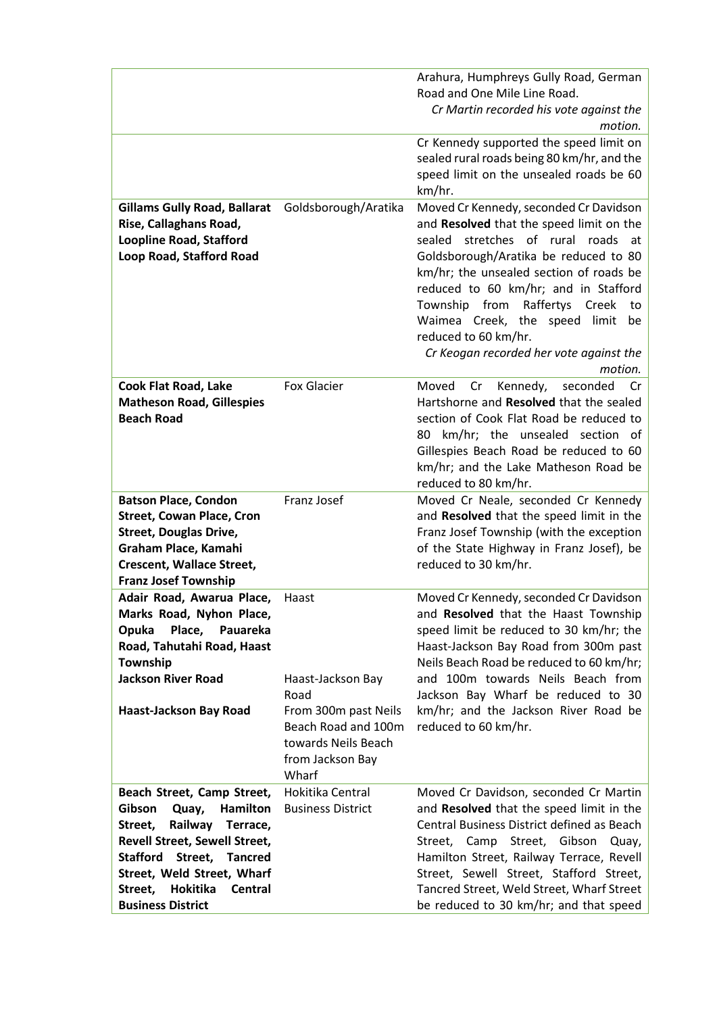|                                                                                                                                                                                                                                                                          |                                                                                                                                       | Arahura, Humphreys Gully Road, German<br>Road and One Mile Line Road.<br>Cr Martin recorded his vote against the<br>motion.<br>Cr Kennedy supported the speed limit on                                                                                                                                                                                                                                                    |
|--------------------------------------------------------------------------------------------------------------------------------------------------------------------------------------------------------------------------------------------------------------------------|---------------------------------------------------------------------------------------------------------------------------------------|---------------------------------------------------------------------------------------------------------------------------------------------------------------------------------------------------------------------------------------------------------------------------------------------------------------------------------------------------------------------------------------------------------------------------|
|                                                                                                                                                                                                                                                                          |                                                                                                                                       | sealed rural roads being 80 km/hr, and the<br>speed limit on the unsealed roads be 60<br>km/hr.                                                                                                                                                                                                                                                                                                                           |
| <b>Gillams Gully Road, Ballarat</b><br>Rise, Callaghans Road,<br><b>Loopline Road, Stafford</b><br>Loop Road, Stafford Road                                                                                                                                              | Goldsborough/Aratika                                                                                                                  | Moved Cr Kennedy, seconded Cr Davidson<br>and Resolved that the speed limit on the<br>sealed stretches of rural roads<br>at<br>Goldsborough/Aratika be reduced to 80<br>km/hr; the unsealed section of roads be<br>reduced to 60 km/hr; and in Stafford<br>Township from<br>Raffertys<br>Creek<br>to<br>Waimea Creek, the speed limit<br>be<br>reduced to 60 km/hr.<br>Cr Keogan recorded her vote against the<br>motion. |
| <b>Cook Flat Road, Lake</b><br><b>Matheson Road, Gillespies</b><br><b>Beach Road</b>                                                                                                                                                                                     | <b>Fox Glacier</b>                                                                                                                    | Kennedy,<br>Moved<br>Cr<br>seconded<br>Cr<br>Hartshorne and Resolved that the sealed<br>section of Cook Flat Road be reduced to<br>80 km/hr; the unsealed section of<br>Gillespies Beach Road be reduced to 60<br>km/hr; and the Lake Matheson Road be<br>reduced to 80 km/hr.                                                                                                                                            |
| <b>Batson Place, Condon</b><br><b>Street, Cowan Place, Cron</b><br><b>Street, Douglas Drive,</b><br>Graham Place, Kamahi<br><b>Crescent, Wallace Street,</b><br><b>Franz Josef Township</b>                                                                              | Franz Josef                                                                                                                           | Moved Cr Neale, seconded Cr Kennedy<br>and Resolved that the speed limit in the<br>Franz Josef Township (with the exception<br>of the State Highway in Franz Josef), be<br>reduced to 30 km/hr.                                                                                                                                                                                                                           |
| Adair Road, Awarua Place,<br>Marks Road, Nyhon Place,<br>Place,<br>Opuka<br>Pauareka<br>Road, Tahutahi Road, Haast<br>Township<br><b>Jackson River Road</b><br>Haast-Jackson Bay Road                                                                                    | Haast<br>Haast-Jackson Bay<br>Road<br>From 300m past Neils<br>Beach Road and 100m<br>towards Neils Beach<br>from Jackson Bay<br>Wharf | Moved Cr Kennedy, seconded Cr Davidson<br>and Resolved that the Haast Township<br>speed limit be reduced to 30 km/hr; the<br>Haast-Jackson Bay Road from 300m past<br>Neils Beach Road be reduced to 60 km/hr;<br>and 100m towards Neils Beach from<br>Jackson Bay Wharf be reduced to 30<br>km/hr; and the Jackson River Road be<br>reduced to 60 km/hr.                                                                 |
| Beach Street, Camp Street,<br>Gibson<br>Quay,<br>Hamilton<br>Railway<br>Terrace,<br>Street,<br>Revell Street, Sewell Street,<br><b>Stafford</b><br>Street,<br><b>Tancred</b><br>Street, Weld Street, Wharf<br>Hokitika<br>Street,<br>Central<br><b>Business District</b> | Hokitika Central<br><b>Business District</b>                                                                                          | Moved Cr Davidson, seconded Cr Martin<br>and Resolved that the speed limit in the<br>Central Business District defined as Beach<br>Street, Camp Street,<br>Gibson<br>Quay,<br>Hamilton Street, Railway Terrace, Revell<br>Street, Sewell Street, Stafford Street,<br>Tancred Street, Weld Street, Wharf Street<br>be reduced to 30 km/hr; and that speed                                                                  |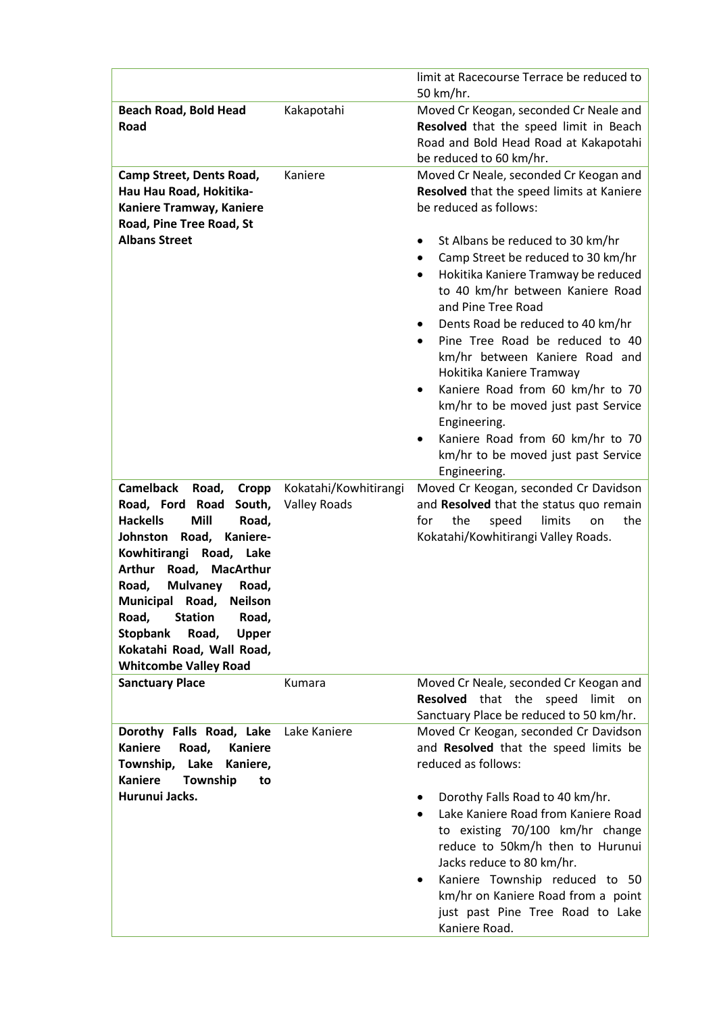|                                                               |                       | limit at Racecourse Terrace be reduced to                                        |
|---------------------------------------------------------------|-----------------------|----------------------------------------------------------------------------------|
|                                                               |                       | 50 km/hr.                                                                        |
| <b>Beach Road, Bold Head</b><br>Road                          | Kakapotahi            | Moved Cr Keogan, seconded Cr Neale and<br>Resolved that the speed limit in Beach |
|                                                               |                       | Road and Bold Head Road at Kakapotahi                                            |
|                                                               |                       | be reduced to 60 km/hr.                                                          |
| Camp Street, Dents Road,                                      | Kaniere               | Moved Cr Neale, seconded Cr Keogan and                                           |
| Hau Hau Road, Hokitika-                                       |                       | Resolved that the speed limits at Kaniere                                        |
| Kaniere Tramway, Kaniere                                      |                       | be reduced as follows:                                                           |
| Road, Pine Tree Road, St                                      |                       |                                                                                  |
| <b>Albans Street</b>                                          |                       | St Albans be reduced to 30 km/hr                                                 |
|                                                               |                       | Camp Street be reduced to 30 km/hr<br>٠                                          |
|                                                               |                       | Hokitika Kaniere Tramway be reduced<br>$\bullet$                                 |
|                                                               |                       | to 40 km/hr between Kaniere Road                                                 |
|                                                               |                       | and Pine Tree Road                                                               |
|                                                               |                       | Dents Road be reduced to 40 km/hr                                                |
|                                                               |                       | Pine Tree Road be reduced to 40                                                  |
|                                                               |                       | km/hr between Kaniere Road and                                                   |
|                                                               |                       | Hokitika Kaniere Tramway<br>Kaniere Road from 60 km/hr to 70<br>$\bullet$        |
|                                                               |                       | km/hr to be moved just past Service                                              |
|                                                               |                       | Engineering.                                                                     |
|                                                               |                       | Kaniere Road from 60 km/hr to 70                                                 |
|                                                               |                       | km/hr to be moved just past Service                                              |
|                                                               |                       | Engineering.                                                                     |
| <b>Camelback</b><br>Road,<br>Cropp                            | Kokatahi/Kowhitirangi | Moved Cr Keogan, seconded Cr Davidson                                            |
| Road, Ford Road<br>South,                                     | <b>Valley Roads</b>   | and Resolved that the status quo remain                                          |
| <b>Hackells</b><br>Mill<br>Road,                              |                       | the<br>for<br>the<br>speed<br>limits<br>on                                       |
| Kaniere-<br>Johnston<br>Road,                                 |                       | Kokatahi/Kowhitirangi Valley Roads.                                              |
| Kowhitirangi Road, Lake<br>Road, MacArthur<br><b>Arthur</b>   |                       |                                                                                  |
| Road,<br><b>Mulvaney</b><br>Road,                             |                       |                                                                                  |
| <b>Neilson</b><br>Municipal Road,                             |                       |                                                                                  |
| <b>Station</b><br>Road,<br>Road,                              |                       |                                                                                  |
| <b>Stopbank</b><br>Road,<br><b>Upper</b>                      |                       |                                                                                  |
| Kokatahi Road, Wall Road,                                     |                       |                                                                                  |
| <b>Whitcombe Valley Road</b>                                  |                       |                                                                                  |
| <b>Sanctuary Place</b>                                        | Kumara                | Moved Cr Neale, seconded Cr Keogan and                                           |
|                                                               |                       | Resolved that the speed<br>limit<br>on                                           |
|                                                               |                       | Sanctuary Place be reduced to 50 km/hr.                                          |
| Dorothy Falls Road, Lake                                      | Lake Kaniere          | Moved Cr Keogan, seconded Cr Davidson                                            |
| <b>Kaniere</b><br>Road,<br><b>Kaniere</b><br>Lake<br>Kaniere, |                       | and Resolved that the speed limits be<br>reduced as follows:                     |
| Township,<br><b>Kaniere</b><br>Township<br>to                 |                       |                                                                                  |
| Hurunui Jacks.                                                |                       | Dorothy Falls Road to 40 km/hr.                                                  |
|                                                               |                       | Lake Kaniere Road from Kaniere Road                                              |
|                                                               |                       | to existing 70/100 km/hr change                                                  |
|                                                               |                       | reduce to 50km/h then to Hurunui                                                 |
|                                                               |                       | Jacks reduce to 80 km/hr.                                                        |
|                                                               |                       | Kaniere Township reduced to 50                                                   |
|                                                               |                       | km/hr on Kaniere Road from a point                                               |
|                                                               |                       | just past Pine Tree Road to Lake                                                 |
|                                                               |                       | Kaniere Road.                                                                    |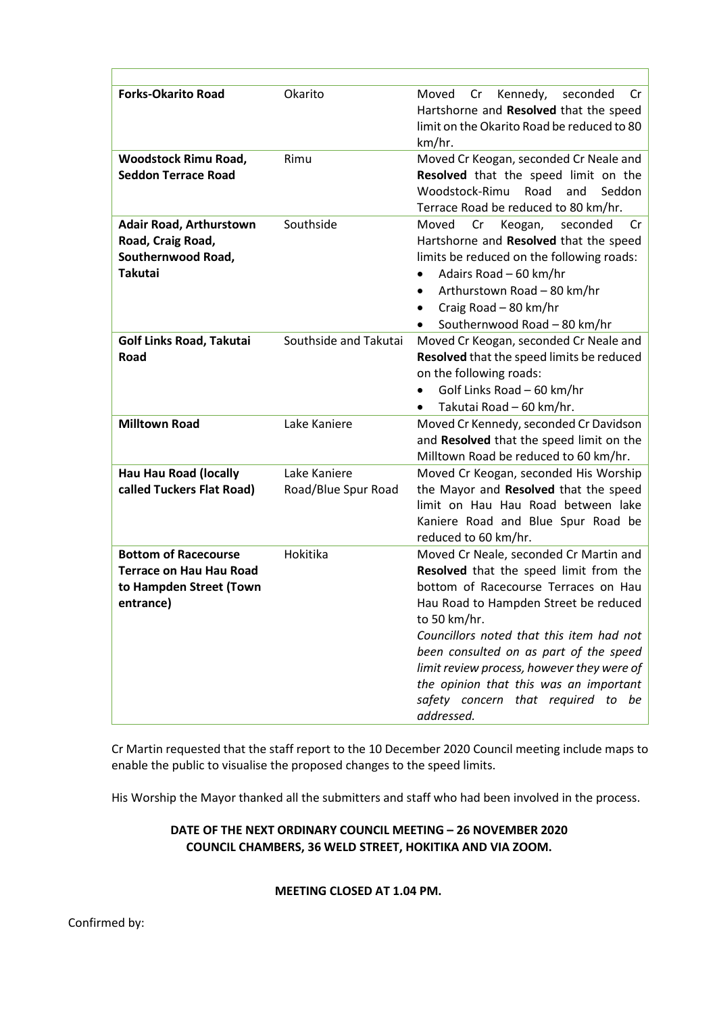| <b>Forks-Okarito Road</b>                                                                             | Okarito                             | Moved<br>Kennedy,<br>Cr<br>seconded<br>Cr<br>Hartshorne and Resolved that the speed<br>limit on the Okarito Road be reduced to 80<br>km/hr.                                                                                                                                                                                                                                                                         |
|-------------------------------------------------------------------------------------------------------|-------------------------------------|---------------------------------------------------------------------------------------------------------------------------------------------------------------------------------------------------------------------------------------------------------------------------------------------------------------------------------------------------------------------------------------------------------------------|
| <b>Woodstock Rimu Road,</b><br><b>Seddon Terrace Road</b>                                             | Rimu                                | Moved Cr Keogan, seconded Cr Neale and<br>Resolved that the speed limit on the<br>Woodstock-Rimu<br>Road<br>and<br>Seddon<br>Terrace Road be reduced to 80 km/hr.                                                                                                                                                                                                                                                   |
| <b>Adair Road, Arthurstown</b><br>Road, Craig Road,<br>Southernwood Road,<br><b>Takutai</b>           | Southside                           | Moved<br>Cr<br>Keogan,<br>seconded<br>Cr<br>Hartshorne and Resolved that the speed<br>limits be reduced on the following roads:<br>Adairs Road - 60 km/hr<br>Arthurstown Road - 80 km/hr<br>Craig Road - 80 km/hr<br>Southernwood Road - 80 km/hr                                                                                                                                                                   |
| <b>Golf Links Road, Takutai</b><br>Road                                                               | Southside and Takutai               | Moved Cr Keogan, seconded Cr Neale and<br>Resolved that the speed limits be reduced<br>on the following roads:<br>Golf Links Road - 60 km/hr<br>Takutai Road - 60 km/hr.<br>$\bullet$                                                                                                                                                                                                                               |
| <b>Milltown Road</b>                                                                                  | Lake Kaniere                        | Moved Cr Kennedy, seconded Cr Davidson<br>and Resolved that the speed limit on the<br>Milltown Road be reduced to 60 km/hr.                                                                                                                                                                                                                                                                                         |
| <b>Hau Hau Road (locally</b><br>called Tuckers Flat Road)                                             | Lake Kaniere<br>Road/Blue Spur Road | Moved Cr Keogan, seconded His Worship<br>the Mayor and Resolved that the speed<br>limit on Hau Hau Road between lake<br>Kaniere Road and Blue Spur Road be<br>reduced to 60 km/hr.                                                                                                                                                                                                                                  |
| <b>Bottom of Racecourse</b><br><b>Terrace on Hau Hau Road</b><br>to Hampden Street (Town<br>entrance) | Hokitika                            | Moved Cr Neale, seconded Cr Martin and<br>Resolved that the speed limit from the<br>bottom of Racecourse Terraces on Hau<br>Hau Road to Hampden Street be reduced<br>to 50 km/hr.<br>Councillors noted that this item had not<br>been consulted on as part of the speed<br>limit review process, however they were of<br>the opinion that this was an important<br>safety concern that required to be<br>addressed. |

Cr Martin requested that the staff report to the 10 December 2020 Council meeting include maps to enable the public to visualise the proposed changes to the speed limits.

His Worship the Mayor thanked all the submitters and staff who had been involved in the process.

# **DATE OF THE NEXT ORDINARY COUNCIL MEETING – 26 NOVEMBER 2020 COUNCIL CHAMBERS, 36 WELD STREET, HOKITIKA AND VIA ZOOM.**

**MEETING CLOSED AT 1.04 PM.** 

Г